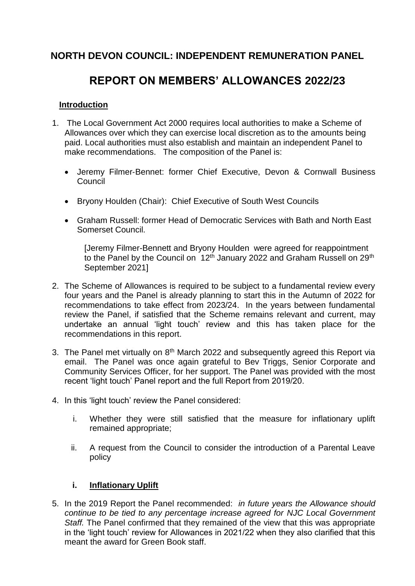# **NORTH DEVON COUNCIL: INDEPENDENT REMUNERATION PANEL**

# **REPORT ON MEMBERS' ALLOWANCES 2022/23**

#### **Introduction**

- 1. The Local Government Act 2000 requires local authorities to make a Scheme of Allowances over which they can exercise local discretion as to the amounts being paid. Local authorities must also establish and maintain an independent Panel to make recommendations. The composition of the Panel is:
	- Jeremy Filmer‐Bennet: former Chief Executive, Devon & Cornwall Business Council
	- Bryony Houlden (Chair): Chief Executive of South West Councils
	- Graham Russell: former Head of Democratic Services with Bath and North East Somerset Council.

[Jeremy Filmer-Bennett and Bryony Houlden were agreed for reappointment to the Panel by the Council on  $12<sup>th</sup>$  January 2022 and Graham Russell on 29<sup>th</sup> September 2021]

- 2. The Scheme of Allowances is required to be subject to a fundamental review every four years and the Panel is already planning to start this in the Autumn of 2022 for recommendations to take effect from 2023/24. In the years between fundamental review the Panel, if satisfied that the Scheme remains relevant and current, may undertake an annual 'light touch' review and this has taken place for the recommendations in this report.
- 3. The Panel met virtually on 8<sup>th</sup> March 2022 and subsequently agreed this Report via email. The Panel was once again grateful to Bev Triggs, Senior Corporate and Community Services Officer, for her support. The Panel was provided with the most recent 'light touch' Panel report and the full Report from 2019/20.
- 4. In this 'light touch' review the Panel considered:
	- i. Whether they were still satisfied that the measure for inflationary uplift remained appropriate;
	- ii. A request from the Council to consider the introduction of a Parental Leave policy

## **i. Inflationary Uplift**

5. In the 2019 Report the Panel recommended: *in future years the Allowance should continue to be tied to any percentage increase agreed for NJC Local Government Staff.* The Panel confirmed that they remained of the view that this was appropriate in the 'light touch' review for Allowances in 2021/22 when they also clarified that this meant the award for Green Book staff.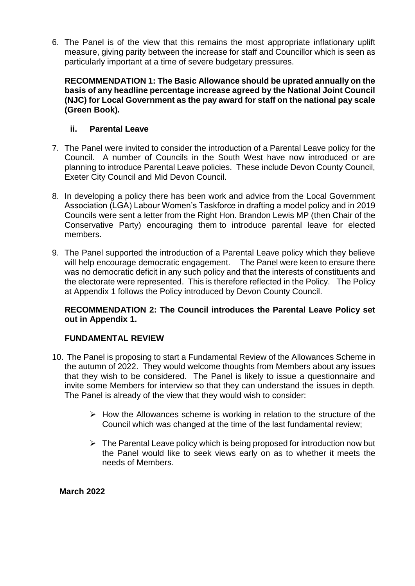6. The Panel is of the view that this remains the most appropriate inflationary uplift measure, giving parity between the increase for staff and Councillor which is seen as particularly important at a time of severe budgetary pressures.

**RECOMMENDATION 1: The Basic Allowance should be uprated annually on the basis of any headline percentage increase agreed by the National Joint Council (NJC) for Local Government as the pay award for staff on the national pay scale (Green Book).** 

#### **ii. Parental Leave**

- 7. The Panel were invited to consider the introduction of a Parental Leave policy for the Council. A number of Councils in the South West have now introduced or are planning to introduce Parental Leave policies. These include Devon County Council, Exeter City Council and Mid Devon Council.
- 8. In developing a policy there has been work and advice from the Local Government Association (LGA) Labour Women's Taskforce in drafting a model policy and in 2019 Councils were sent a letter from the Right Hon. Brandon Lewis MP (then Chair of the Conservative Party) encouraging them to introduce parental leave for elected members.
- 9. The Panel supported the introduction of a Parental Leave policy which they believe will help encourage democratic engagement. The Panel were keen to ensure there was no democratic deficit in any such policy and that the interests of constituents and the electorate were represented. This is therefore reflected in the Policy. The Policy at Appendix 1 follows the Policy introduced by Devon County Council.

#### **RECOMMENDATION 2: The Council introduces the Parental Leave Policy set out in Appendix 1.**

## **FUNDAMENTAL REVIEW**

- 10. The Panel is proposing to start a Fundamental Review of the Allowances Scheme in the autumn of 2022. They would welcome thoughts from Members about any issues that they wish to be considered. The Panel is likely to issue a questionnaire and invite some Members for interview so that they can understand the issues in depth. The Panel is already of the view that they would wish to consider:
	- $\triangleright$  How the Allowances scheme is working in relation to the structure of the Council which was changed at the time of the last fundamental review;
	- $\triangleright$  The Parental Leave policy which is being proposed for introduction now but the Panel would like to seek views early on as to whether it meets the needs of Members.

**March 2022**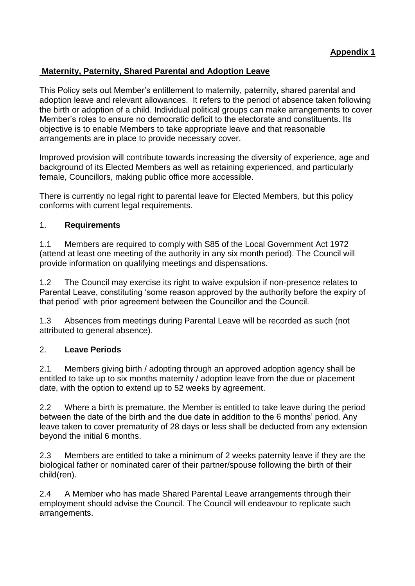## **Maternity, Paternity, Shared Parental and Adoption Leave**

This Policy sets out Member's entitlement to maternity, paternity, shared parental and adoption leave and relevant allowances. It refers to the period of absence taken following the birth or adoption of a child. Individual political groups can make arrangements to cover Member's roles to ensure no democratic deficit to the electorate and constituents. Its objective is to enable Members to take appropriate leave and that reasonable arrangements are in place to provide necessary cover.

Improved provision will contribute towards increasing the diversity of experience, age and background of its Elected Members as well as retaining experienced, and particularly female, Councillors, making public office more accessible.

There is currently no legal right to parental leave for Elected Members, but this policy conforms with current legal requirements.

#### 1. **Requirements**

1.1 Members are required to comply with S85 of the Local Government Act 1972 (attend at least one meeting of the authority in any six month period). The Council will provide information on qualifying meetings and dispensations.

1.2 The Council may exercise its right to waive expulsion if non-presence relates to Parental Leave, constituting 'some reason approved by the authority before the expiry of that period' with prior agreement between the Councillor and the Council.

1.3 Absences from meetings during Parental Leave will be recorded as such (not attributed to general absence).

## 2. **Leave Periods**

2.1 Members giving birth / adopting through an approved adoption agency shall be entitled to take up to six months maternity / adoption leave from the due or placement date, with the option to extend up to 52 weeks by agreement.

2.2 Where a birth is premature, the Member is entitled to take leave during the period between the date of the birth and the due date in addition to the 6 months' period. Any leave taken to cover prematurity of 28 days or less shall be deducted from any extension beyond the initial 6 months.

2.3 Members are entitled to take a minimum of 2 weeks paternity leave if they are the biological father or nominated carer of their partner/spouse following the birth of their child(ren).

2.4 A Member who has made Shared Parental Leave arrangements through their employment should advise the Council. The Council will endeavour to replicate such arrangements.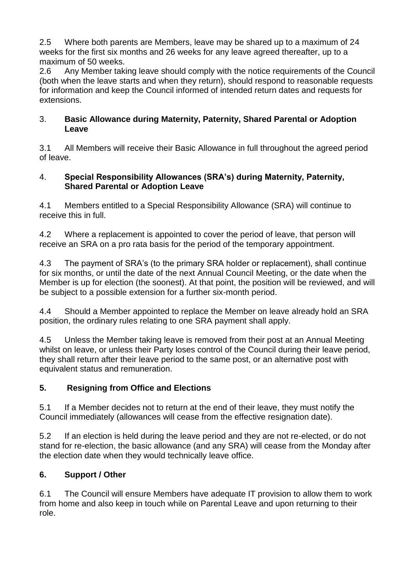2.5 Where both parents are Members, leave may be shared up to a maximum of 24 weeks for the first six months and 26 weeks for any leave agreed thereafter, up to a maximum of 50 weeks.

2.6 Any Member taking leave should comply with the notice requirements of the Council (both when the leave starts and when they return), should respond to reasonable requests for information and keep the Council informed of intended return dates and requests for extensions.

#### 3. **Basic Allowance during Maternity, Paternity, Shared Parental or Adoption Leave**

3.1 All Members will receive their Basic Allowance in full throughout the agreed period of leave.

## 4. **Special Responsibility Allowances (SRA's) during Maternity, Paternity, Shared Parental or Adoption Leave**

4.1 Members entitled to a Special Responsibility Allowance (SRA) will continue to receive this in full.

4.2 Where a replacement is appointed to cover the period of leave, that person will receive an SRA on a pro rata basis for the period of the temporary appointment.

4.3 The payment of SRA's (to the primary SRA holder or replacement), shall continue for six months, or until the date of the next Annual Council Meeting, or the date when the Member is up for election (the soonest). At that point, the position will be reviewed, and will be subject to a possible extension for a further six-month period.

4.4 Should a Member appointed to replace the Member on leave already hold an SRA position, the ordinary rules relating to one SRA payment shall apply.

4.5 Unless the Member taking leave is removed from their post at an Annual Meeting whilst on leave, or unless their Party loses control of the Council during their leave period, they shall return after their leave period to the same post, or an alternative post with equivalent status and remuneration.

## **5. Resigning from Office and Elections**

5.1 If a Member decides not to return at the end of their leave, they must notify the Council immediately (allowances will cease from the effective resignation date).

5.2 If an election is held during the leave period and they are not re-elected, or do not stand for re-election, the basic allowance (and any SRA) will cease from the Monday after the election date when they would technically leave office.

## **6. Support / Other**

6.1 The Council will ensure Members have adequate IT provision to allow them to work from home and also keep in touch while on Parental Leave and upon returning to their role.